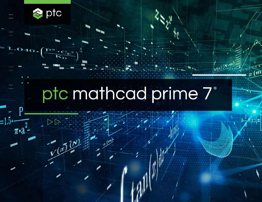